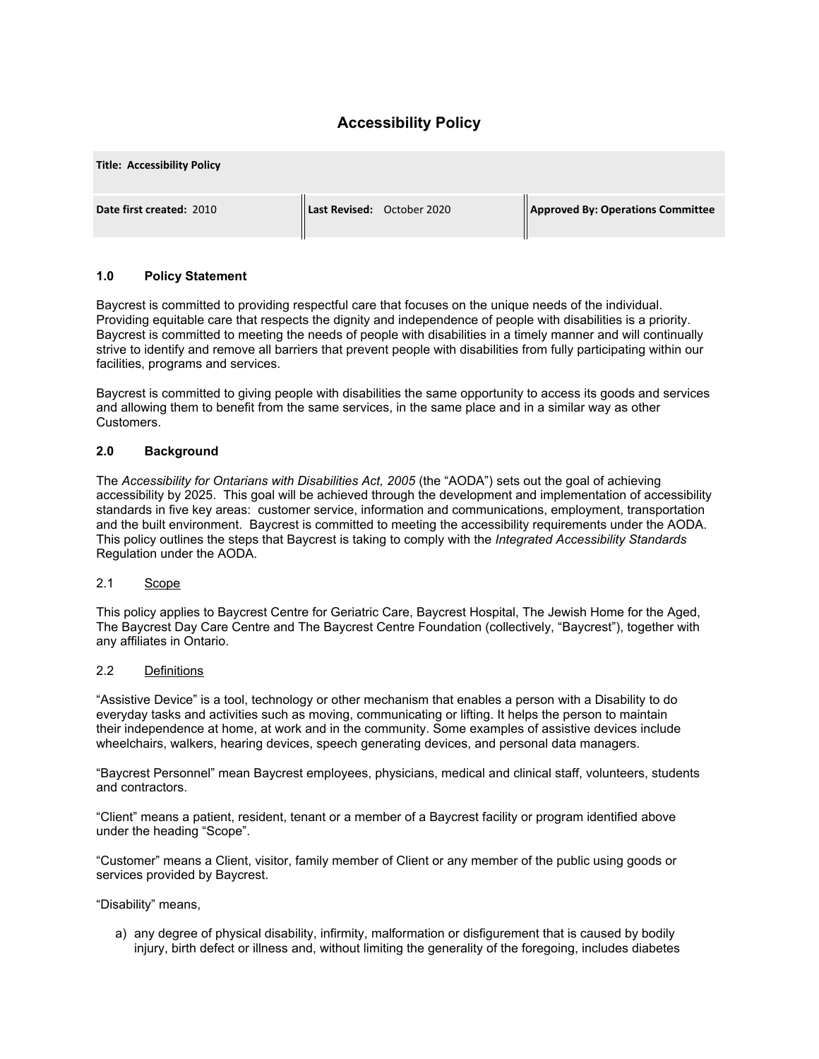# **Accessibility Policy**

| <b>Title: Accessibility Policy</b> |                            |                                   |
|------------------------------------|----------------------------|-----------------------------------|
| Date first created: 2010           | Last Revised: October 2020 | Approved By: Operations Committee |

### **1.0 Policy Statement**

Baycrest is committed to providing respectful care that focuses on the unique needs of the individual. Providing equitable care that respects the dignity and independence of people with disabilities is a priority. Baycrest is committed to meeting the needs of people with disabilities in a timely manner and will continually strive to identify and remove all barriers that prevent people with disabilities from fully participating within our facilities, programs and services.

Baycrest is committed to giving people with disabilities the same opportunity to access its goods and services and allowing them to benefit from the same services, in the same place and in a similar way as other Customers.

#### **2.0 Background**

The *Accessibility for Ontarians with Disabilities Act, 2005* (the "AODA") sets out the goal of achieving accessibility by 2025. This goal will be achieved through the development and implementation of accessibility standards in five key areas: customer service, information and communications, employment, transportation and the built environment. Baycrest is committed to meeting the accessibility requirements under the AODA. This policy outlines the steps that Baycrest is taking to comply with the *Integrated Accessibility Standards* Regulation under the AODA.

#### 2.1 Scope

This policy applies to Baycrest Centre for Geriatric Care, Baycrest Hospital, The Jewish Home for the Aged, The Baycrest Day Care Centre and The Baycrest Centre Foundation (collectively, "Baycrest"), together with any affiliates in Ontario.

#### 2.2 Definitions

"Assistive Device" is a tool, technology or other mechanism that enables a person with a Disability to do everyday tasks and activities such as moving, communicating or lifting. It helps the person to maintain their independence at home, at work and in the community. Some examples of assistive devices include wheelchairs, walkers, hearing devices, speech generating devices, and personal data managers.

"Baycrest Personnel" mean Baycrest employees, physicians, medical and clinical staff, volunteers, students and contractors.

"Client" means a patient, resident, tenant or a member of a Baycrest facility or program identified above under the heading "Scope".

"Customer" means a Client, visitor, family member of Client or any member of the public using goods or services provided by Baycrest.

"Disability" means,

a) any degree of physical disability, infirmity, malformation or disfigurement that is caused by bodily injury, birth defect or illness and, without limiting the generality of the foregoing, includes diabetes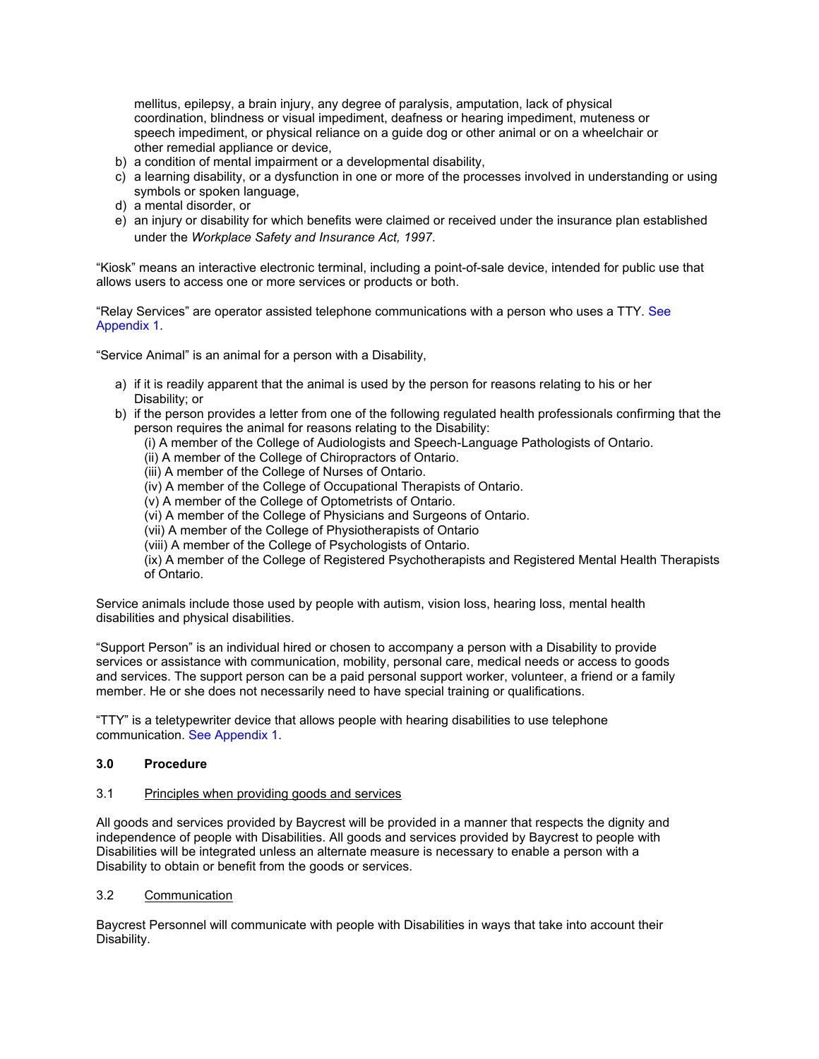mellitus, epilepsy, a brain injury, any degree of paralysis, amputation, lack of physical coordination, blindness or visual impediment, deafness or hearing impediment, muteness or speech impediment, or physical reliance on a guide dog or other animal or on a wheelchair or other remedial appliance or device,

- b) a condition of mental impairment or a developmental disability,
- c) a learning disability, or a dysfunction in one or more of the processes involved in understanding or using symbols or spoken language,
- d) a mental disorder, or
- e) an injury or disability for which benefits were claimed or received under the insurance plan established under the *Workplace Safety and Insurance Act, 1997*.

"Kiosk" means an interactive electronic terminal, including a point-of-sale device, intended for public use that allows users to access one or more services or products or both.

"Relay Services" are operator assisted telephone communications with a person who uses a TTY. See Appendix 1.

"Service Animal" is an animal for a person with a Disability,

- a) if it is readily apparent that the animal is used by the person for reasons relating to his or her Disability; or
- b) if the person provides a letter from one of the following regulated health professionals confirming that the person requires the animal for reasons relating to the Disability:

(i) A member of the College of Audiologists and Speech-Language Pathologists of Ontario.

- (ii) A member of the College of Chiropractors of Ontario.
- (iii) A member of the College of Nurses of Ontario.
- (iv) A member of the College of Occupational Therapists of Ontario.
- (v) A member of the College of Optometrists of Ontario.
- (vi) A member of the College of Physicians and Surgeons of Ontario.
- (vii) A member of the College of Physiotherapists of Ontario
- (viii) A member of the College of Psychologists of Ontario.

(ix) A member of the College of Registered Psychotherapists and Registered Mental Health Therapists of Ontario.

Service animals include those used by people with autism, vision loss, hearing loss, mental health disabilities and physical disabilities.

"Support Person" is an individual hired or chosen to accompany a person with a Disability to provide services or assistance with communication, mobility, personal care, medical needs or access to goods and services. The support person can be a paid personal support worker, volunteer, a friend or a family member. He or she does not necessarily need to have special training or qualifications.

"TTY" is a teletypewriter device that allows people with hearing disabilities to use telephone communication. See Appendix 1.

### **3.0 Procedure**

### 3.1 Principles when providing goods and services

All goods and services provided by Baycrest will be provided in a manner that respects the dignity and independence of people with Disabilities. All goods and services provided by Baycrest to people with Disabilities will be integrated unless an alternate measure is necessary to enable a person with a Disability to obtain or benefit from the goods or services.

#### 3.2 Communication

Baycrest Personnel will communicate with people with Disabilities in ways that take into account their Disability.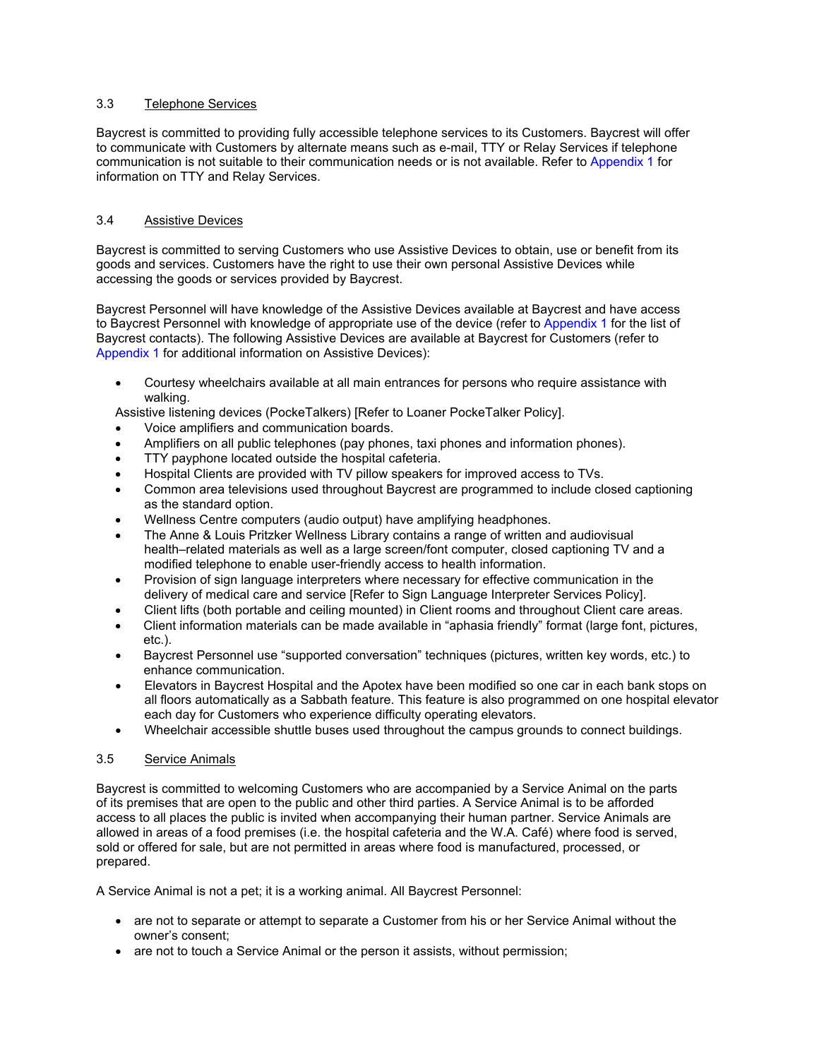#### 3.3 Telephone Services

Baycrest is committed to providing fully accessible telephone services to its Customers. Baycrest will offer to communicate with Customers by alternate means such as e-mail, TTY or Relay Services if telephone communication is not suitable to their communication needs or is not available. Refer to Appendix 1 for information on TTY and Relay Services.

### 3.4 Assistive Devices

Baycrest is committed to serving Customers who use Assistive Devices to obtain, use or benefit from its goods and services. Customers have the right to use their own personal Assistive Devices while accessing the goods or services provided by Baycrest.

Baycrest Personnel will have knowledge of the Assistive Devices available at Baycrest and have access to Baycrest Personnel with knowledge of appropriate use of the device (refer to Appendix 1 for the list of Baycrest contacts). The following Assistive Devices are available at Baycrest for Customers (refer to Appendix 1 for additional information on Assistive Devices):

• Courtesy wheelchairs available at all main entrances for persons who require assistance with walking.

Assistive listening devices (PockeTalkers) [Refer to Loaner PockeTalker Policy].

- Voice amplifiers and communication boards.
- Amplifiers on all public telephones (pay phones, taxi phones and information phones).
- TTY payphone located outside the hospital cafeteria.
- Hospital Clients are provided with TV pillow speakers for improved access to TVs.
- Common area televisions used throughout Baycrest are programmed to include closed captioning as the standard option.
- Wellness Centre computers (audio output) have amplifying headphones.
- The Anne & Louis Pritzker Wellness Library contains a range of written and audiovisual health–related materials as well as a large screen/font computer, closed captioning TV and a modified telephone to enable user-friendly access to health information.
- Provision of sign language interpreters where necessary for effective communication in the delivery of medical care and service [Refer to Sign Language Interpreter Services Policy].
- Client lifts (both portable and ceiling mounted) in Client rooms and throughout Client care areas.
- Client information materials can be made available in "aphasia friendly" format (large font, pictures, etc.).
- Baycrest Personnel use "supported conversation" techniques (pictures, written key words, etc.) to enhance communication.
- Elevators in Baycrest Hospital and the Apotex have been modified so one car in each bank stops on all floors automatically as a Sabbath feature. This feature is also programmed on one hospital elevator each day for Customers who experience difficulty operating elevators.
- Wheelchair accessible shuttle buses used throughout the campus grounds to connect buildings.

### 3.5 Service Animals

Baycrest is committed to welcoming Customers who are accompanied by a Service Animal on the parts of its premises that are open to the public and other third parties. A Service Animal is to be afforded access to all places the public is invited when accompanying their human partner. Service Animals are allowed in areas of a food premises (i.e. the hospital cafeteria and the W.A. Café) where food is served, sold or offered for sale, but are not permitted in areas where food is manufactured, processed, or prepared.

A Service Animal is not a pet; it is a working animal. All Baycrest Personnel:

- are not to separate or attempt to separate a Customer from his or her Service Animal without the owner's consent;
- are not to touch a Service Animal or the person it assists, without permission;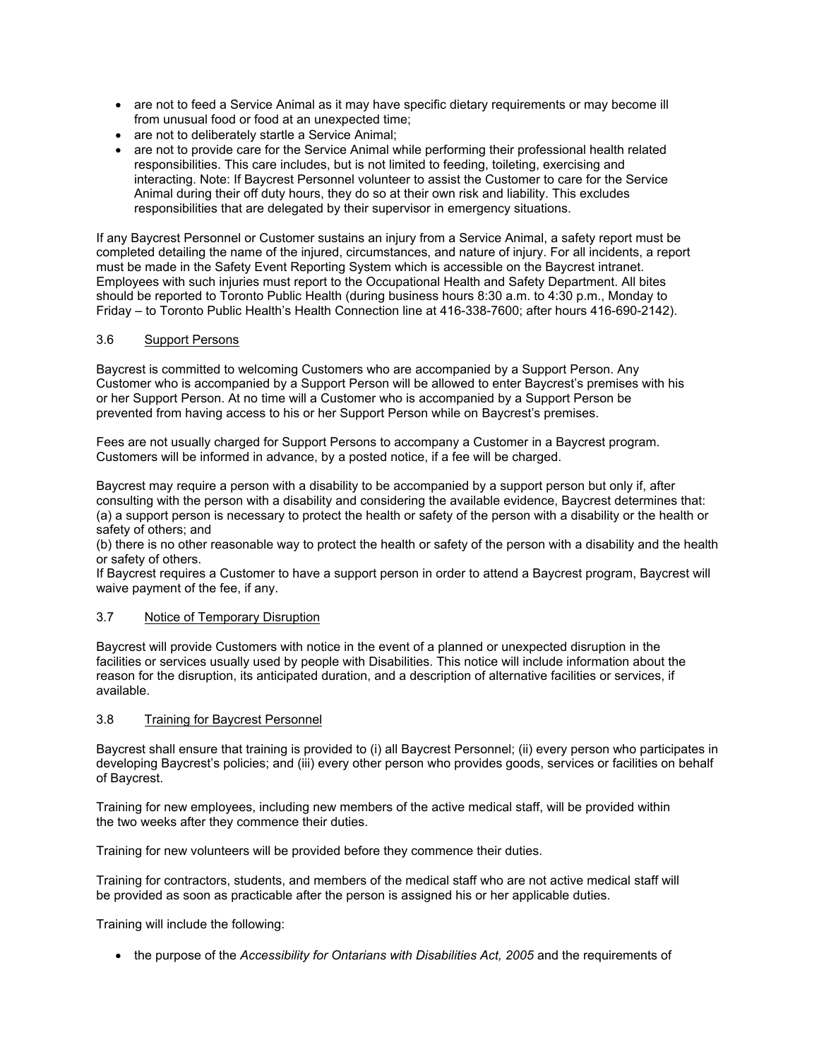- are not to feed a Service Animal as it may have specific dietary requirements or may become ill from unusual food or food at an unexpected time;
- are not to deliberately startle a Service Animal;
- are not to provide care for the Service Animal while performing their professional health related responsibilities. This care includes, but is not limited to feeding, toileting, exercising and interacting. Note: If Baycrest Personnel volunteer to assist the Customer to care for the Service Animal during their off duty hours, they do so at their own risk and liability. This excludes responsibilities that are delegated by their supervisor in emergency situations.

If any Baycrest Personnel or Customer sustains an injury from a Service Animal, a safety report must be completed detailing the name of the injured, circumstances, and nature of injury. For all incidents, a report must be made in the Safety Event Reporting System which is accessible on the Baycrest intranet. Employees with such injuries must report to the Occupational Health and Safety Department. All bites should be reported to Toronto Public Health (during business hours 8:30 a.m. to 4:30 p.m., Monday to Friday – to Toronto Public Health's Health Connection line at 416-338-7600; after hours 416-690-2142).

### 3.6 Support Persons

Baycrest is committed to welcoming Customers who are accompanied by a Support Person. Any Customer who is accompanied by a Support Person will be allowed to enter Baycrest's premises with his or her Support Person. At no time will a Customer who is accompanied by a Support Person be prevented from having access to his or her Support Person while on Baycrest's premises.

Fees are not usually charged for Support Persons to accompany a Customer in a Baycrest program. Customers will be informed in advance, by a posted notice, if a fee will be charged.

Baycrest may require a person with a disability to be accompanied by a support person but only if, after consulting with the person with a disability and considering the available evidence, Baycrest determines that: (a) a support person is necessary to protect the health or safety of the person with a disability or the health or safety of others; and

(b) there is no other reasonable way to protect the health or safety of the person with a disability and the health or safety of others.

If Baycrest requires a Customer to have a support person in order to attend a Baycrest program, Baycrest will waive payment of the fee, if any.

### 3.7 Notice of Temporary Disruption

Baycrest will provide Customers with notice in the event of a planned or unexpected disruption in the facilities or services usually used by people with Disabilities. This notice will include information about the reason for the disruption, its anticipated duration, and a description of alternative facilities or services, if available.

### 3.8 Training for Baycrest Personnel

Baycrest shall ensure that training is provided to (i) all Baycrest Personnel; (ii) every person who participates in developing Baycrest's policies; and (iii) every other person who provides goods, services or facilities on behalf of Baycrest.

Training for new employees, including new members of the active medical staff, will be provided within the two weeks after they commence their duties.

Training for new volunteers will be provided before they commence their duties.

Training for contractors, students, and members of the medical staff who are not active medical staff will be provided as soon as practicable after the person is assigned his or her applicable duties.

Training will include the following:

• the purpose of the *Accessibility for Ontarians with Disabilities Act, 2005* and the requirements of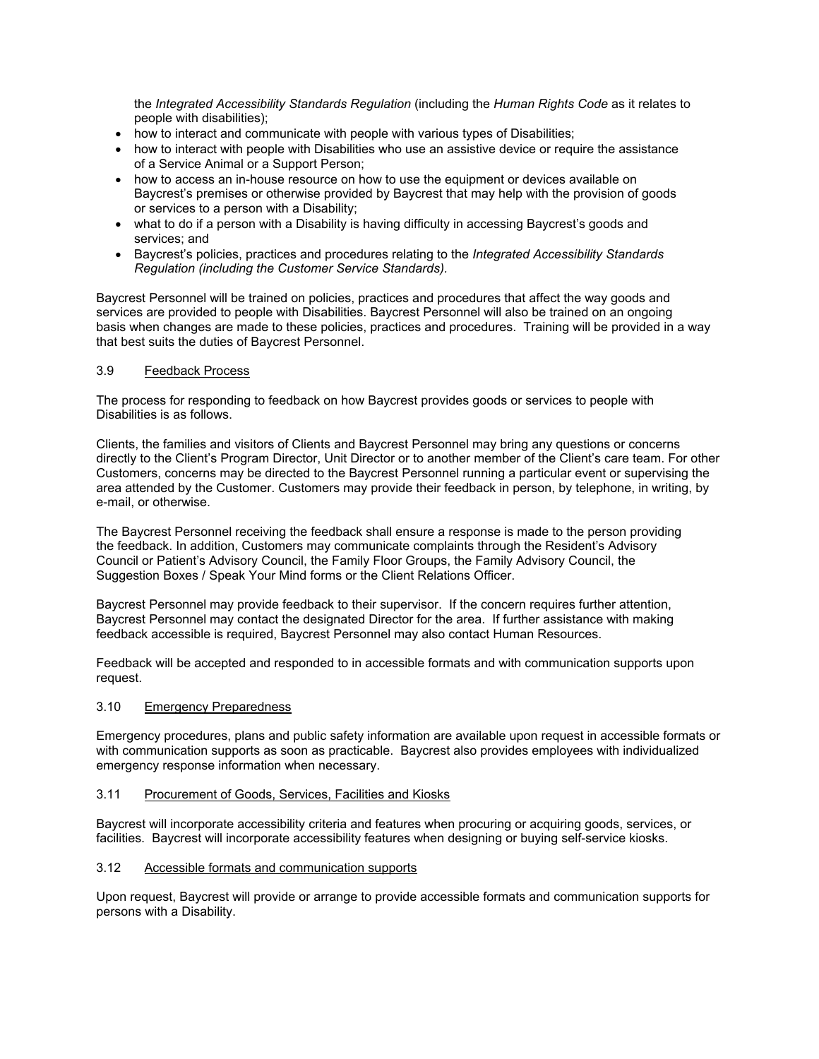the *Integrated Accessibility Standards Regulation* (including the *Human Rights Code* as it relates to people with disabilities);

- how to interact and communicate with people with various types of Disabilities;
- how to interact with people with Disabilities who use an assistive device or require the assistance of a Service Animal or a Support Person;
- how to access an in-house resource on how to use the equipment or devices available on Baycrest's premises or otherwise provided by Baycrest that may help with the provision of goods or services to a person with a Disability;
- what to do if a person with a Disability is having difficulty in accessing Baycrest's goods and services; and
- Baycrest's policies, practices and procedures relating to the *Integrated Accessibility Standards Regulation (including the Customer Service Standards).*

Baycrest Personnel will be trained on policies, practices and procedures that affect the way goods and services are provided to people with Disabilities. Baycrest Personnel will also be trained on an ongoing basis when changes are made to these policies, practices and procedures. Training will be provided in a way that best suits the duties of Baycrest Personnel.

#### 3.9 Feedback Process

The process for responding to feedback on how Baycrest provides goods or services to people with Disabilities is as follows.

Clients, the families and visitors of Clients and Baycrest Personnel may bring any questions or concerns directly to the Client's Program Director, Unit Director or to another member of the Client's care team. For other Customers, concerns may be directed to the Baycrest Personnel running a particular event or supervising the area attended by the Customer. Customers may provide their feedback in person, by telephone, in writing, by e-mail, or otherwise.

The Baycrest Personnel receiving the feedback shall ensure a response is made to the person providing the feedback. In addition, Customers may communicate complaints through the Resident's Advisory Council or Patient's Advisory Council, the Family Floor Groups, the Family Advisory Council, the Suggestion Boxes / Speak Your Mind forms or the Client Relations Officer.

Baycrest Personnel may provide feedback to their supervisor. If the concern requires further attention, Baycrest Personnel may contact the designated Director for the area. If further assistance with making feedback accessible is required, Baycrest Personnel may also contact Human Resources.

Feedback will be accepted and responded to in accessible formats and with communication supports upon request.

### 3.10 Emergency Preparedness

Emergency procedures, plans and public safety information are available upon request in accessible formats or with communication supports as soon as practicable. Baycrest also provides employees with individualized emergency response information when necessary.

#### 3.11 Procurement of Goods, Services, Facilities and Kiosks

Baycrest will incorporate accessibility criteria and features when procuring or acquiring goods, services, or facilities. Baycrest will incorporate accessibility features when designing or buying self-service kiosks.

#### 3.12 Accessible formats and communication supports

Upon request, Baycrest will provide or arrange to provide accessible formats and communication supports for persons with a Disability.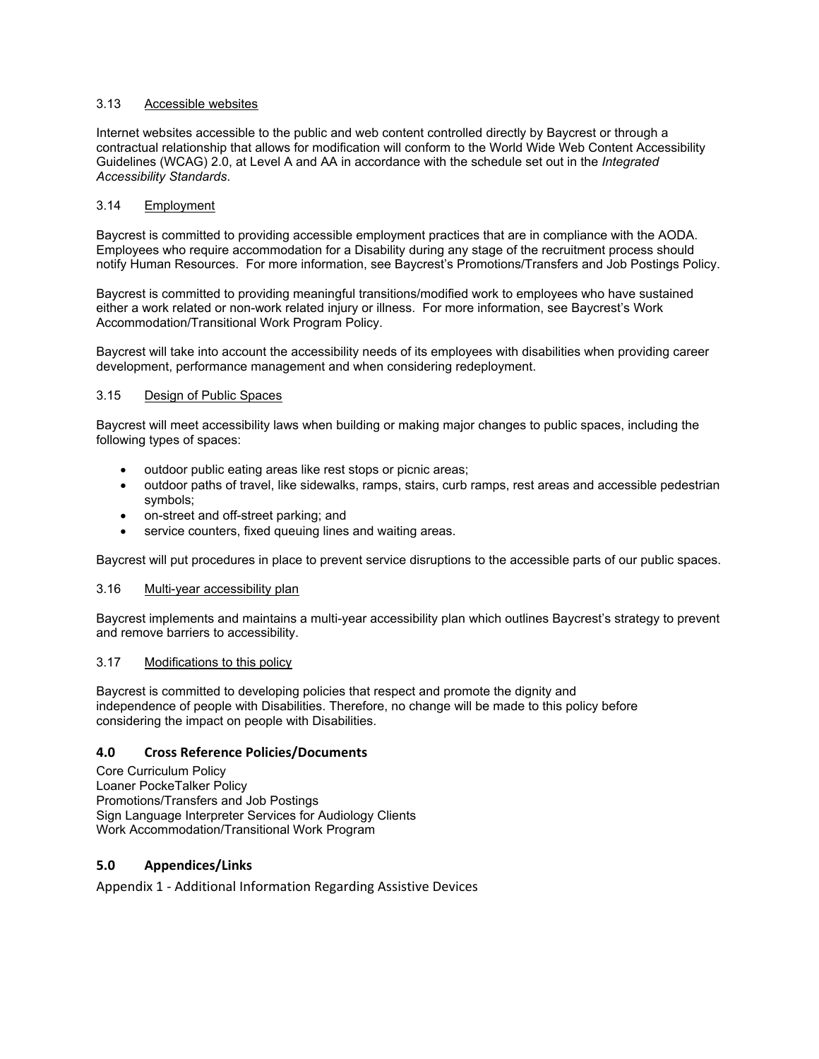#### 3.13 Accessible websites

Internet websites accessible to the public and web content controlled directly by Baycrest or through a contractual relationship that allows for modification will conform to the World Wide Web Content Accessibility Guidelines (WCAG) 2.0, at Level A and AA in accordance with the schedule set out in the *Integrated Accessibility Standards*.

### 3.14 Employment

Baycrest is committed to providing accessible employment practices that are in compliance with the AODA. Employees who require accommodation for a Disability during any stage of the recruitment process should notify Human Resources. For more information, see Baycrest's Promotions/Transfers and Job Postings Policy.

Baycrest is committed to providing meaningful transitions/modified work to employees who have sustained either a work related or non-work related injury or illness. For more information, see Baycrest's Work Accommodation/Transitional Work Program Policy.

Baycrest will take into account the accessibility needs of its employees with disabilities when providing career development, performance management and when considering redeployment.

#### 3.15 Design of Public Spaces

Baycrest will meet accessibility laws when building or making major changes to public spaces, including the following types of spaces:

- outdoor public eating areas like rest stops or picnic areas;
- outdoor paths of travel, like sidewalks, ramps, stairs, curb ramps, rest areas and accessible pedestrian symbols;
- on-street and off-street parking; and
- service counters, fixed queuing lines and waiting areas.

Baycrest will put procedures in place to prevent service disruptions to the accessible parts of our public spaces.

#### 3.16 Multi-year accessibility plan

Baycrest implements and maintains a multi-year accessibility plan which outlines Baycrest's strategy to prevent and remove barriers to accessibility.

#### 3.17 Modifications to this policy

Baycrest is committed to developing policies that respect and promote the dignity and independence of people with Disabilities. Therefore, no change will be made to this policy before considering the impact on people with Disabilities.

### **4.0 Cross Reference Policies/Documents**

Core Curriculum Policy Loaner PockeTalker Policy Promotions/Transfers and Job Postings Sign Language Interpreter Services for Audiology Clients Work Accommodation/Transitional Work Program

### **5.0 Appendices/Links**

Appendix 1 - Additional Information Regarding Assistive Devices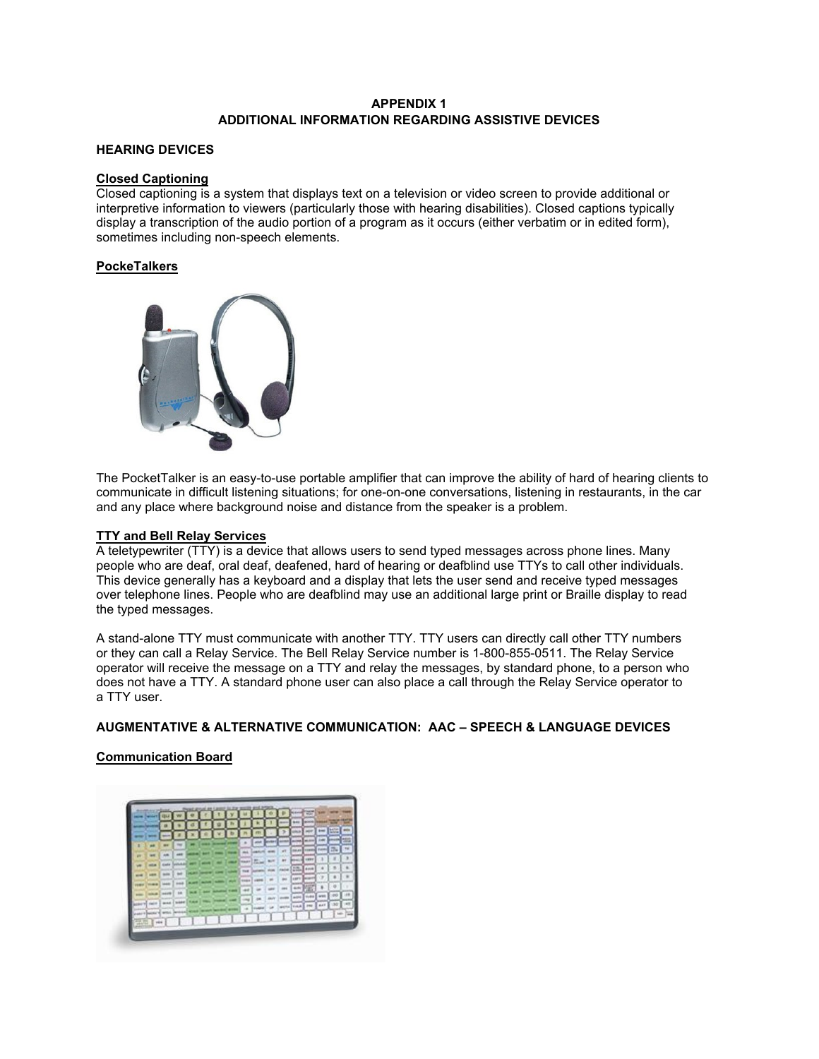### **APPENDIX 1 ADDITIONAL INFORMATION REGARDING ASSISTIVE DEVICES**

### **HEARING DEVICES**

#### **Closed Captioning**

Closed captioning is a system that displays text on a television or video screen to provide additional or interpretive information to viewers (particularly those with hearing disabilities). Closed captions typically display a transcription of the audio portion of a program as it occurs (either verbatim or in edited form), sometimes including non-speech elements.

#### **PockeTalkers**



The PocketTalker is an easy-to-use portable amplifier that can improve the ability of hard of hearing clients to communicate in difficult listening situations; for one-on-one conversations, listening in restaurants, in the car and any place where background noise and distance from the speaker is a problem.

#### **TTY and Bell Relay Services**

A teletypewriter (TTY) is a device that allows users to send typed messages across phone lines. Many people who are deaf, oral deaf, deafened, hard of hearing or deafblind use TTYs to call other individuals. This device generally has a keyboard and a display that lets the user send and receive typed messages over telephone lines. People who are deafblind may use an additional large print or Braille display to read the typed messages.

A stand-alone TTY must communicate with another TTY. TTY users can directly call other TTY numbers or they can call a Relay Service. The Bell Relay Service number is 1-800-855-0511. The Relay Service operator will receive the message on a TTY and relay the messages, by standard phone, to a person who does not have a TTY. A standard phone user can also place a call through the Relay Service operator to a TTY user.

### **AUGMENTATIVE & ALTERNATIVE COMMUNICATION: AAC – SPEECH & LANGUAGE DEVICES**

### **Communication Board**